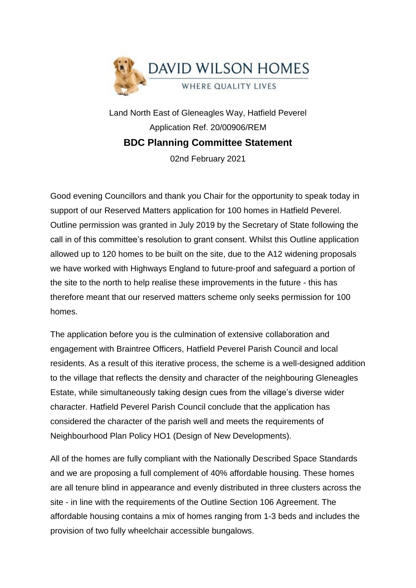

Land North East of Gleneagles Way, Hatfield Peverel Application Ref. 20/00906/REM **BDC Planning Committee Statement**

02nd February 2021

Good evening Councillors and thank you Chair for the opportunity to speak today in support of our Reserved Matters application for 100 homes in Hatfield Peverel. Outline permission was granted in July 2019 by the Secretary of State following the call in of this committee's resolution to grant consent. Whilst this Outline application allowed up to 120 homes to be built on the site, due to the A12 widening proposals we have worked with Highways England to future-proof and safeguard a portion of the site to the north to help realise these improvements in the future - this has therefore meant that our reserved matters scheme only seeks permission for 100 homes.

The application before you is the culmination of extensive collaboration and engagement with Braintree Officers, Hatfield Peverel Parish Council and local residents. As a result of this iterative process, the scheme is a well-designed addition to the village that reflects the density and character of the neighbouring Gleneagles Estate, while simultaneously taking design cues from the village's diverse wider character. Hatfield Peverel Parish Council conclude that the application has considered the character of the parish well and meets the requirements of Neighbourhood Plan Policy HO1 (Design of New Developments).

All of the homes are fully compliant with the Nationally Described Space Standards and we are proposing a full complement of 40% affordable housing. These homes are all tenure blind in appearance and evenly distributed in three clusters across the site - in line with the requirements of the Outline Section 106 Agreement. The affordable housing contains a mix of homes ranging from 1-3 beds and includes the provision of two fully wheelchair accessible bungalows.